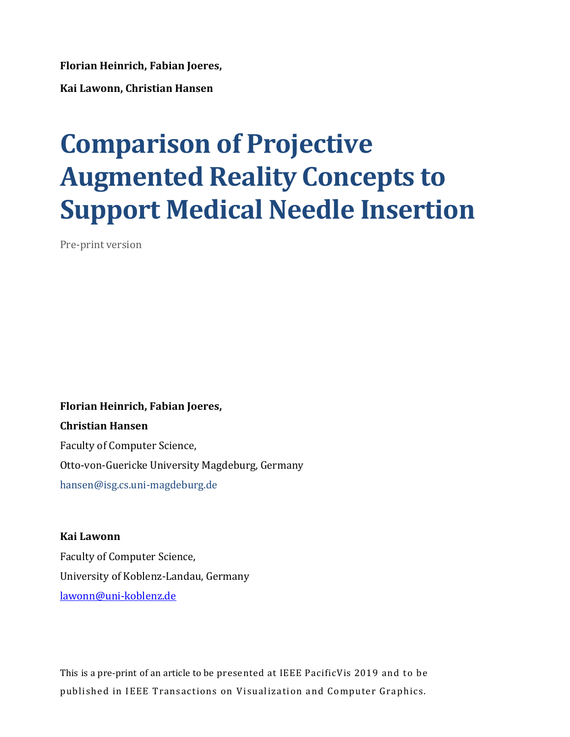**Florian Heinrich, Fabian Joeres,** 

**Kai Lawonn, Christian Hansen**

# **Comparison of Projective Augmented Reality Concepts to Support Medical Needle Insertion**

Pre-print version

**Florian Heinrich, Fabian Joeres, Christian Hansen** Faculty of Computer Science, Otto-von-Guericke University Magdeburg, Germany hansen@isg.cs.uni-magdeburg.de

**Kai Lawonn**  Faculty of Computer Science, University of Koblenz-Landau, Germany [lawonn@uni-koblenz.de](mailto:lawonn@uni-koblenz.de) 

This is a pre-print of an article to be presented at IEEE PacificVis 2019 and to be published in IEEE Transactions on Visualization and Computer Graphics.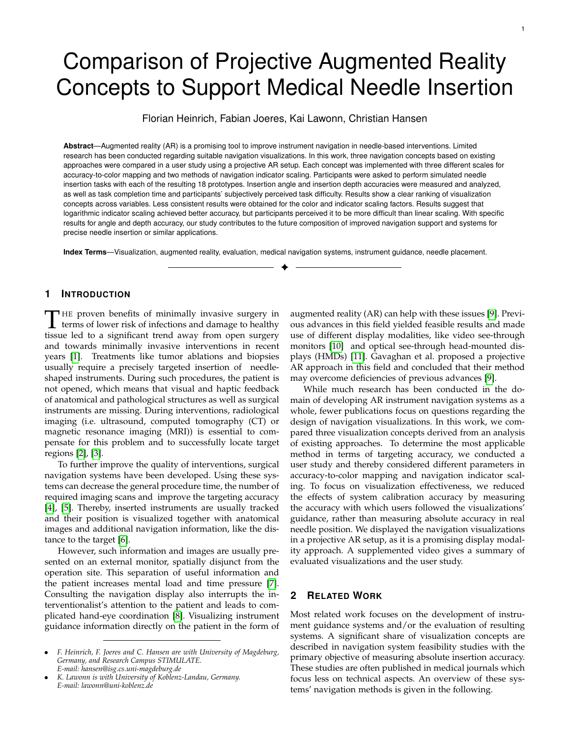# Comparison of Projective Augmented Reality Concepts to Support Medical Needle Insertion

Florian Heinrich, Fabian Joeres, Kai Lawonn, Christian Hansen

**Abstract**—Augmented reality (AR) is a promising tool to improve instrument navigation in needle-based interventions. Limited research has been conducted regarding suitable navigation visualizations. In this work, three navigation concepts based on existing approaches were compared in a user study using a projective AR setup. Each concept was implemented with three different scales for accuracy-to-color mapping and two methods of navigation indicator scaling. Participants were asked to perform simulated needle insertion tasks with each of the resulting 18 prototypes. Insertion angle and insertion depth accuracies were measured and analyzed, as well as task completion time and participants' subjectively perceived task difficulty. Results show a clear ranking of visualization concepts across variables. Less consistent results were obtained for the color and indicator scaling factors. Results suggest that logarithmic indicator scaling achieved better accuracy, but participants perceived it to be more difficult than linear scaling. With specific results for angle and depth accuracy, our study contributes to the future composition of improved navigation support and systems for precise needle insertion or similar applications.

**Index Terms**—Visualization, augmented reality, evaluation, medical navigation systems, instrument guidance, needle placement.

✦

# **1 INTRODUCTION**

THE proven benefits of minimally invasive surgery in<br>terms of lower risk of infections and damage to healthy<br>tissue led to a significant trond away from one surgery HE proven benefits of minimally invasive surgery in tissue led to a significant trend away from open surgery and towards minimally invasive interventions in recent years [\[1\]](#page-10-0). Treatments like tumor ablations and biopsies usually require a precisely targeted insertion of needleshaped instruments. During such procedures, the patient is not opened, which means that visual and haptic feedback of anatomical and pathological structures as well as surgical instruments are missing. During interventions, radiological imaging (i.e. ultrasound, computed tomography (CT) or magnetic resonance imaging (MRI)) is essential to compensate for this problem and to successfully locate target regions [\[2\]](#page-10-1), [\[3\]](#page-10-2).

To further improve the quality of interventions, surgical navigation systems have been developed. Using these systems can decrease the general procedure time, the number of required imaging scans and improve the targeting accuracy [\[4\]](#page-10-3), [\[5\]](#page-10-4). Thereby, inserted instruments are usually tracked and their position is visualized together with anatomical images and additional navigation information, like the distance to the target [\[6\]](#page-10-5).

However, such information and images are usually presented on an external monitor, spatially disjunct from the operation site. This separation of useful information and the patient increases mental load and time pressure [\[7\]](#page-10-6). Consulting the navigation display also interrupts the interventionalist's attention to the patient and leads to complicated hand-eye coordination [\[8\]](#page-11-0). Visualizing instrument guidance information directly on the patient in the form of augmented reality (AR) can help with these issues [\[9\]](#page-11-1). Previous advances in this field yielded feasible results and made use of different display modalities, like video see-through monitors [\[10\]](#page-11-2) and optical see-through head-mounted displays (HMDs) [\[11\]](#page-11-3). Gavaghan et al. proposed a projective AR approach in this field and concluded that their method may overcome deficiencies of previous advances [\[9\]](#page-11-1).

While much research has been conducted in the domain of developing AR instrument navigation systems as a whole, fewer publications focus on questions regarding the design of navigation visualizations. In this work, we compared three visualization concepts derived from an analysis of existing approaches. To determine the most applicable method in terms of targeting accuracy, we conducted a user study and thereby considered different parameters in accuracy-to-color mapping and navigation indicator scaling. To focus on visualization effectiveness, we reduced the effects of system calibration accuracy by measuring the accuracy with which users followed the visualizations' guidance, rather than measuring absolute accuracy in real needle position. We displayed the navigation visualizations in a projective AR setup, as it is a promising display modality approach. A supplemented video gives a summary of evaluated visualizations and the user study.

# **2 RELATED WORK**

Most related work focuses on the development of instrument guidance systems and/or the evaluation of resulting systems. A significant share of visualization concepts are described in navigation system feasibility studies with the primary objective of measuring absolute insertion accuracy. These studies are often published in medical journals which focus less on technical aspects. An overview of these systems' navigation methods is given in the following.

<sup>•</sup> *F. Heinrich, F. Joeres and C. Hansen are with University of Magdeburg, Germany, and Research Campus STIMULATE. E-mail: hansen@isg.cs.uni-magdeburg.de*

<sup>•</sup> *K. Lawonn is with University of Koblenz-Landau, Germany. E-mail: lawonn@uni-koblenz.de*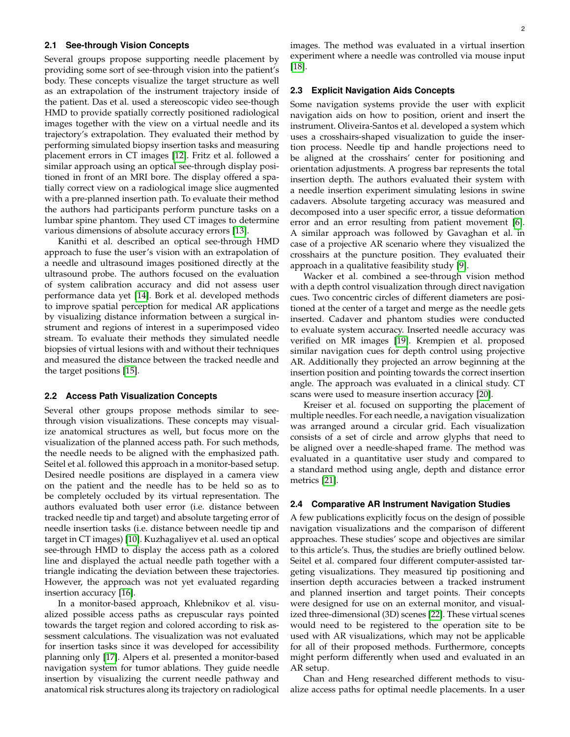# **2.1 See-through Vision Concepts**

Several groups propose supporting needle placement by providing some sort of see-through vision into the patient's body. These concepts visualize the target structure as well as an extrapolation of the instrument trajectory inside of the patient. Das et al. used a stereoscopic video see-though HMD to provide spatially correctly positioned radiological images together with the view on a virtual needle and its trajectory's extrapolation. They evaluated their method by performing simulated biopsy insertion tasks and measuring placement errors in CT images [\[12\]](#page-11-4). Fritz et al. followed a similar approach using an optical see-through display positioned in front of an MRI bore. The display offered a spatially correct view on a radiological image slice augmented with a pre-planned insertion path. To evaluate their method the authors had participants perform puncture tasks on a lumbar spine phantom. They used CT images to determine various dimensions of absolute accuracy errors [\[13\]](#page-11-5).

Kanithi et al. described an optical see-through HMD approach to fuse the user's vision with an extrapolation of a needle and ultrasound images positioned directly at the ultrasound probe. The authors focused on the evaluation of system calibration accuracy and did not assess user performance data yet [\[14\]](#page-11-6). Bork et al. developed methods to improve spatial perception for medical AR applications by visualizing distance information between a surgical instrument and regions of interest in a superimposed video stream. To evaluate their methods they simulated needle biopsies of virtual lesions with and without their techniques and measured the distance between the tracked needle and the target positions [\[15\]](#page-11-7).

#### **2.2 Access Path Visualization Concepts**

Several other groups propose methods similar to seethrough vision visualizations. These concepts may visualize anatomical structures as well, but focus more on the visualization of the planned access path. For such methods, the needle needs to be aligned with the emphasized path. Seitel et al. followed this approach in a monitor-based setup. Desired needle positions are displayed in a camera view on the patient and the needle has to be held so as to be completely occluded by its virtual representation. The authors evaluated both user error (i.e. distance between tracked needle tip and target) and absolute targeting error of needle insertion tasks (i.e. distance between needle tip and target in CT images) [\[10\]](#page-11-2). Kuzhagaliyev et al. used an optical see-through HMD to display the access path as a colored line and displayed the actual needle path together with a triangle indicating the deviation between these trajectories. However, the approach was not yet evaluated regarding insertion accuracy [\[16\]](#page-11-8).

In a monitor-based approach, Khlebnikov et al. visualized possible access paths as crepuscular rays pointed towards the target region and colored according to risk assessment calculations. The visualization was not evaluated for insertion tasks since it was developed for accessibility planning only [\[17\]](#page-11-9). Alpers et al. presented a monitor-based navigation system for tumor ablations. They guide needle insertion by visualizing the current needle pathway and anatomical risk structures along its trajectory on radiological

images. The method was evaluated in a virtual insertion experiment where a needle was controlled via mouse input [\[18\]](#page-11-10).

# **2.3 Explicit Navigation Aids Concepts**

Some navigation systems provide the user with explicit navigation aids on how to position, orient and insert the instrument. Oliveira-Santos et al. developed a system which uses a crosshairs-shaped visualization to guide the insertion process. Needle tip and handle projections need to be aligned at the crosshairs' center for positioning and orientation adjustments. A progress bar represents the total insertion depth. The authors evaluated their system with a needle insertion experiment simulating lesions in swine cadavers. Absolute targeting accuracy was measured and decomposed into a user specific error, a tissue deformation error and an error resulting from patient movement [\[6\]](#page-10-5). A similar approach was followed by Gavaghan et al. in case of a projective AR scenario where they visualized the crosshairs at the puncture position. They evaluated their approach in a qualitative feasibility study [\[9\]](#page-11-1).

Wacker et al. combined a see-through vision method with a depth control visualization through direct navigation cues. Two concentric circles of different diameters are positioned at the center of a target and merge as the needle gets inserted. Cadaver and phantom studies were conducted to evaluate system accuracy. Inserted needle accuracy was verified on MR images [\[19\]](#page-11-11). Krempien et al. proposed similar navigation cues for depth control using projective AR. Additionally they projected an arrow beginning at the insertion position and pointing towards the correct insertion angle. The approach was evaluated in a clinical study. CT scans were used to measure insertion accuracy [\[20\]](#page-11-12).

Kreiser et al. focused on supporting the placement of multiple needles. For each needle, a navigation visualization was arranged around a circular grid. Each visualization consists of a set of circle and arrow glyphs that need to be aligned over a needle-shaped frame. The method was evaluated in a quantitative user study and compared to a standard method using angle, depth and distance error metrics [\[21\]](#page-11-13).

#### **2.4 Comparative AR Instrument Navigation Studies**

A few publications explicitly focus on the design of possible navigation visualizations and the comparison of different approaches. These studies' scope and objectives are similar to this article's. Thus, the studies are briefly outlined below. Seitel et al. compared four different computer-assisted targeting visualizations. They measured tip positioning and insertion depth accuracies between a tracked instrument and planned insertion and target points. Their concepts were designed for use on an external monitor, and visualized three-dimensional (3D) scenes [\[22\]](#page-11-14). These virtual scenes would need to be registered to the operation site to be used with AR visualizations, which may not be applicable for all of their proposed methods. Furthermore, concepts might perform differently when used and evaluated in an AR setup.

Chan and Heng researched different methods to visualize access paths for optimal needle placements. In a user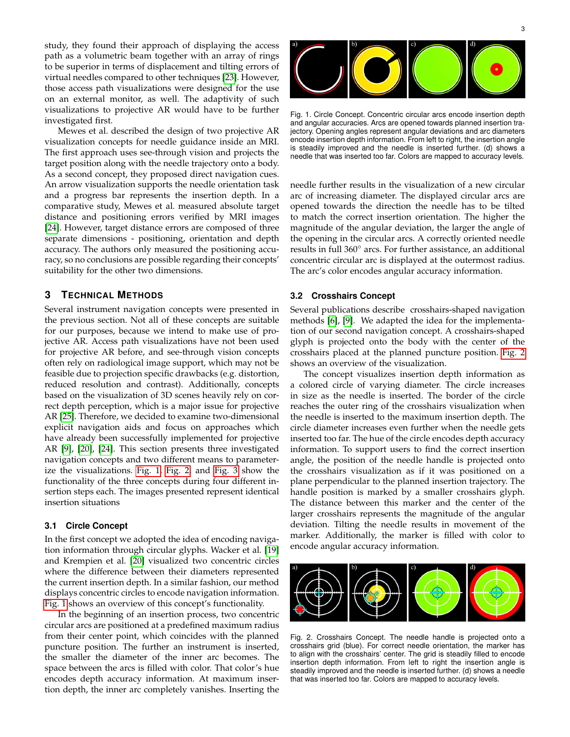study, they found their approach of displaying the access path as a volumetric beam together with an array of rings to be superior in terms of displacement and tilting errors of virtual needles compared to other techniques [\[23\]](#page-11-15). However, those access path visualizations were designed for the use on an external monitor, as well. The adaptivity of such visualizations to projective AR would have to be further investigated first.

Mewes et al. described the design of two projective AR visualization concepts for needle guidance inside an MRI. The first approach uses see-through vision and projects the target position along with the needle trajectory onto a body. As a second concept, they proposed direct navigation cues. An arrow visualization supports the needle orientation task and a progress bar represents the insertion depth. In a comparative study, Mewes et al. measured absolute target distance and positioning errors verified by MRI images [\[24\]](#page-11-16). However, target distance errors are composed of three separate dimensions - positioning, orientation and depth accuracy. The authors only measured the positioning accuracy, so no conclusions are possible regarding their concepts' suitability for the other two dimensions.

# **3 TECHNICAL METHODS**

Several instrument navigation concepts were presented in the previous section. Not all of these concepts are suitable for our purposes, because we intend to make use of projective AR. Access path visualizations have not been used for projective AR before, and see-through vision concepts often rely on radiological image support, which may not be feasible due to projection specific drawbacks (e.g. distortion, reduced resolution and contrast). Additionally, concepts based on the visualization of 3D scenes heavily rely on correct depth perception, which is a major issue for projective AR [\[25\]](#page-11-17). Therefore, we decided to examine two-dimensional explicit navigation aids and focus on approaches which have already been successfully implemented for projective AR [\[9\]](#page-11-1), [\[20\]](#page-11-12), [\[24\]](#page-11-16). This section presents three investigated navigation concepts and two different means to parameterize the visualizations. [Fig. 1,](#page-3-0) [Fig. 2,](#page-3-1) and [Fig. 3](#page-4-0) show the functionality of the three concepts during four different insertion steps each. The images presented represent identical insertion situations

#### <span id="page-3-2"></span>**3.1 Circle Concept**

In the first concept we adopted the idea of encoding navigation information through circular glyphs. Wacker et al. [\[19\]](#page-11-11) and Krempien et al. [\[20\]](#page-11-12) visualized two concentric circles where the difference between their diameters represented the current insertion depth. In a similar fashion, our method displays concentric circles to encode navigation information. [Fig. 1](#page-3-0) shows an overview of this concept's functionality.

In the beginning of an insertion process, two concentric circular arcs are positioned at a predefined maximum radius from their center point, which coincides with the planned puncture position. The further an instrument is inserted, the smaller the diameter of the inner arc becomes. The space between the arcs is filled with color. That color's hue encodes depth accuracy information. At maximum insertion depth, the inner arc completely vanishes. Inserting the

<span id="page-3-0"></span>

Fig. 1. Circle Concept. Concentric circular arcs encode insertion depth and angular accuracies. Arcs are opened towards planned insertion trajectory. Opening angles represent angular deviations and arc diameters encode insertion depth information. From left to right, the insertion angle is steadily improved and the needle is inserted further. (d) shows a needle that was inserted too far. Colors are mapped to accuracy levels.

needle further results in the visualization of a new circular arc of increasing diameter. The displayed circular arcs are opened towards the direction the needle has to be tilted to match the correct insertion orientation. The higher the magnitude of the angular deviation, the larger the angle of the opening in the circular arcs. A correctly oriented needle results in full 360◦ arcs. For further assistance, an additional concentric circular arc is displayed at the outermost radius. The arc's color encodes angular accuracy information.

# **3.2 Crosshairs Concept**

Several publications describe crosshairs-shaped navigation methods [\[6\]](#page-10-5), [\[9\]](#page-11-1). We adapted the idea for the implementation of our second navigation concept. A crosshairs-shaped glyph is projected onto the body with the center of the crosshairs placed at the planned puncture position. [Fig. 2](#page-3-1) shows an overview of the visualization.

The concept visualizes insertion depth information as a colored circle of varying diameter. The circle increases in size as the needle is inserted. The border of the circle reaches the outer ring of the crosshairs visualization when the needle is inserted to the maximum insertion depth. The circle diameter increases even further when the needle gets inserted too far. The hue of the circle encodes depth accuracy information. To support users to find the correct insertion angle, the position of the needle handle is projected onto the crosshairs visualization as if it was positioned on a plane perpendicular to the planned insertion trajectory. The handle position is marked by a smaller crosshairs glyph. The distance between this marker and the center of the larger crosshairs represents the magnitude of the angular deviation. Tilting the needle results in movement of the marker. Additionally, the marker is filled with color to encode angular accuracy information.

<span id="page-3-1"></span>

Fig. 2. Crosshairs Concept. The needle handle is projected onto a crosshairs grid (blue). For correct needle orientation, the marker has to align with the crosshairs' center. The grid is steadily filled to encode insertion depth information. From left to right the insertion angle is steadily improved and the needle is inserted further. (d) shows a needle that was inserted too far. Colors are mapped to accuracy levels.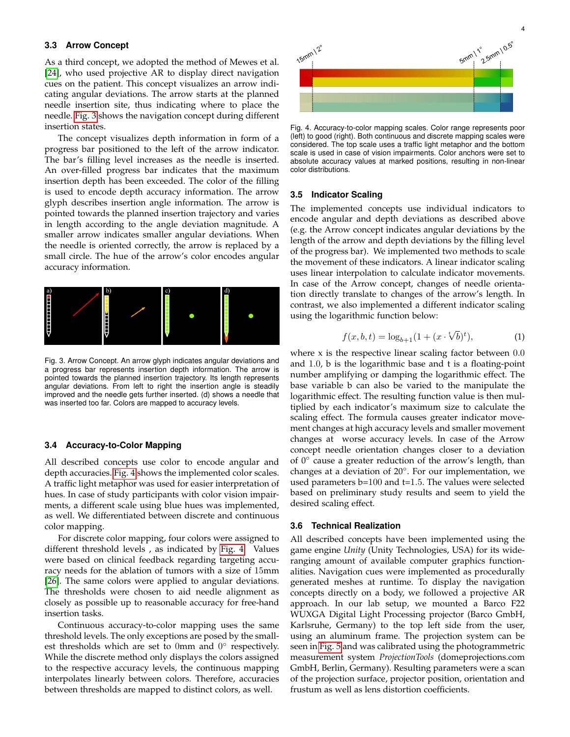# <span id="page-4-2"></span>**3.3 Arrow Concept**

As a third concept, we adopted the method of Mewes et al. [\[24\]](#page-11-16), who used projective AR to display direct navigation cues on the patient. This concept visualizes an arrow indicating angular deviations. The arrow starts at the planned needle insertion site, thus indicating where to place the needle. [Fig. 3](#page-4-0) shows the navigation concept during different insertion states.

The concept visualizes depth information in form of a progress bar positioned to the left of the arrow indicator. The bar's filling level increases as the needle is inserted. An over-filled progress bar indicates that the maximum insertion depth has been exceeded. The color of the filling is used to encode depth accuracy information. The arrow glyph describes insertion angle information. The arrow is pointed towards the planned insertion trajectory and varies in length according to the angle deviation magnitude. A smaller arrow indicates smaller angular deviations. When the needle is oriented correctly, the arrow is replaced by a small circle. The hue of the arrow's color encodes angular accuracy information.



<span id="page-4-0"></span>Fig. 3. Arrow Concept. An arrow glyph indicates angular deviations and a progress bar represents insertion depth information. The arrow is pointed towards the planned insertion trajectory. Its length represents angular deviations. From left to right the insertion angle is steadily improved and the needle gets further inserted. (d) shows a needle that was inserted too far. Colors are mapped to accuracy levels.

# <span id="page-4-3"></span>**3.4 Accuracy-to-Color Mapping**

All described concepts use color to encode angular and depth accuracies. [Fig. 4](#page-4-1) shows the implemented color scales. A traffic light metaphor was used for easier interpretation of hues. In case of study participants with color vision impairments, a different scale using blue hues was implemented, as well. We differentiated between discrete and continuous color mapping.

For discrete color mapping, four colors were assigned to different threshold levels , as indicated by [Fig. 4.](#page-4-1) Values were based on clinical feedback regarding targeting accuracy needs for the ablation of tumors with a size of 15mm [\[26\]](#page-11-18). The same colors were applied to angular deviations. The thresholds were chosen to aid needle alignment as closely as possible up to reasonable accuracy for free-hand insertion tasks.

Continuous accuracy-to-color mapping uses the same threshold levels. The only exceptions are posed by the smallest thresholds which are set to 0mm and  $0^{\circ}$  respectively. While the discrete method only displays the colors assigned to the respective accuracy levels, the continuous mapping interpolates linearly between colors. Therefore, accuracies between thresholds are mapped to distinct colors, as well.



<span id="page-4-1"></span>Fig. 4. Accuracy-to-color mapping scales. Color range represents poor (left) to good (right). Both continuous and discrete mapping scales were considered. The top scale uses a traffic light metaphor and the bottom scale is used in case of vision impairments. Color anchors were set to absolute accuracy values at marked positions, resulting in non-linear color distributions.

## <span id="page-4-4"></span>**3.5 Indicator Scaling**

The implemented concepts use individual indicators to encode angular and depth deviations as described above (e.g. the Arrow concept indicates angular deviations by the length of the arrow and depth deviations by the filling level of the progress bar). We implemented two methods to scale the movement of these indicators. A linear indicator scaling uses linear interpolation to calculate indicator movements. In case of the Arrow concept, changes of needle orientation directly translate to changes of the arrow's length. In contrast, we also implemented a different indicator scaling using the logarithmic function below:

<span id="page-4-5"></span>
$$
f(x, b, t) = \log_{b+1}(1 + (x \cdot \sqrt[b]{b})^t), \tag{1}
$$

where  $x$  is the respective linear scaling factor between  $0.0$ and 1.0, b is the logarithmic base and t is a floating-point number amplifying or damping the logarithmic effect. The base variable b can also be varied to the manipulate the logarithmic effect. The resulting function value is then multiplied by each indicator's maximum size to calculate the scaling effect. The formula causes greater indicator movement changes at high accuracy levels and smaller movement changes at worse accuracy levels. In case of the Arrow concept needle orientation changes closer to a deviation of  $0^{\circ}$  cause a greater reduction of the arrow's length, than changes at a deviation of 20◦ . For our implementation, we used parameters  $b=100$  and  $t=1.5$ . The values were selected based on preliminary study results and seem to yield the desired scaling effect.

#### **3.6 Technical Realization**

All described concepts have been implemented using the game engine *Unity* (Unity Technologies, USA) for its wideranging amount of available computer graphics functionalities. Navigation cues were implemented as procedurally generated meshes at runtime. To display the navigation concepts directly on a body, we followed a projective AR approach. In our lab setup, we mounted a Barco F22 WUXGA Digital Light Processing projector (Barco GmbH, Karlsruhe, Germany) to the top left side from the user, using an aluminum frame. The projection system can be seen in [Fig. 5](#page-5-0) and was calibrated using the photogrammetric measurement system *ProjectionTools* (domeprojections.com GmbH, Berlin, Germany). Resulting parameters were a scan of the projection surface, projector position, orientation and frustum as well as lens distortion coefficients.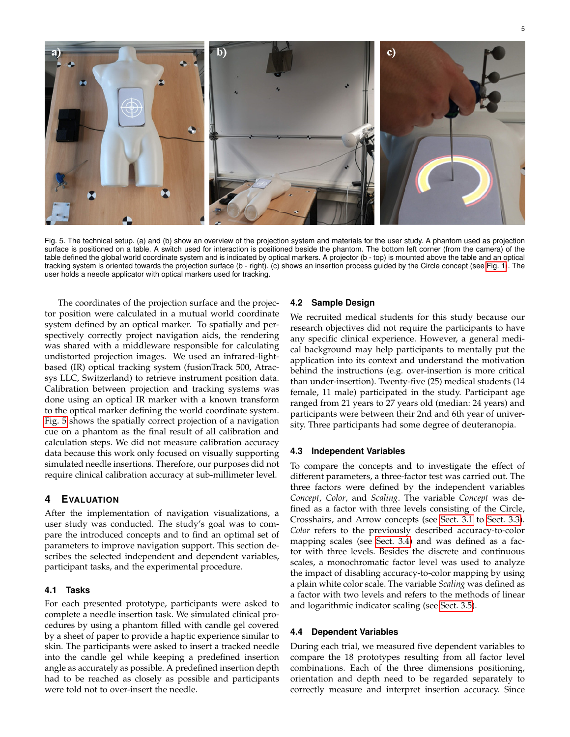

<span id="page-5-0"></span>Fig. 5. The technical setup. (a) and (b) show an overview of the projection system and materials for the user study. A phantom used as projection surface is positioned on a table. A switch used for interaction is positioned beside the phantom. The bottom left corner (from the camera) of the table defined the global world coordinate system and is indicated by optical markers. A projector (b - top) is mounted above the table and an optical tracking system is oriented towards the projection surface (b - right). (c) shows an insertion process guided by the Circle concept (see [Fig. 1\)](#page-3-0). The user holds a needle applicator with optical markers used for tracking.

The coordinates of the projection surface and the projector position were calculated in a mutual world coordinate system defined by an optical marker. To spatially and perspectively correctly project navigation aids, the rendering was shared with a middleware responsible for calculating undistorted projection images. We used an infrared-lightbased (IR) optical tracking system (fusionTrack 500, Atracsys LLC, Switzerland) to retrieve instrument position data. Calibration between projection and tracking systems was done using an optical IR marker with a known transform to the optical marker defining the world coordinate system. [Fig. 5](#page-5-0) shows the spatially correct projection of a navigation cue on a phantom as the final result of all calibration and calculation steps. We did not measure calibration accuracy data because this work only focused on visually supporting simulated needle insertions. Therefore, our purposes did not require clinical calibration accuracy at sub-millimeter level.

# **4 EVALUATION**

After the implementation of navigation visualizations, a user study was conducted. The study's goal was to compare the introduced concepts and to find an optimal set of parameters to improve navigation support. This section describes the selected independent and dependent variables, participant tasks, and the experimental procedure.

# **4.1 Tasks**

For each presented prototype, participants were asked to complete a needle insertion task. We simulated clinical procedures by using a phantom filled with candle gel covered by a sheet of paper to provide a haptic experience similar to skin. The participants were asked to insert a tracked needle into the candle gel while keeping a predefined insertion angle as accurately as possible. A predefined insertion depth had to be reached as closely as possible and participants were told not to over-insert the needle.

#### **4.2 Sample Design**

We recruited medical students for this study because our research objectives did not require the participants to have any specific clinical experience. However, a general medical background may help participants to mentally put the application into its context and understand the motivation behind the instructions (e.g. over-insertion is more critical than under-insertion). Twenty-five (25) medical students (14 female, 11 male) participated in the study. Participant age ranged from 21 years to 27 years old (median: 24 years) and participants were between their 2nd and 6th year of university. Three participants had some degree of deuteranopia.

#### **4.3 Independent Variables**

To compare the concepts and to investigate the effect of different parameters, a three-factor test was carried out. The three factors were defined by the independent variables *Concept*, *Color*, and *Scaling*. The variable *Concept* was defined as a factor with three levels consisting of the Circle, Crosshairs, and Arrow concepts (see [Sect. 3.1](#page-3-2) to [Sect. 3.3\)](#page-4-2). *Color* refers to the previously described accuracy-to-color mapping scales (see [Sect. 3.4\)](#page-4-3) and was defined as a factor with three levels. Besides the discrete and continuous scales, a monochromatic factor level was used to analyze the impact of disabling accuracy-to-color mapping by using a plain white color scale. The variable *Scaling* was defined as a factor with two levels and refers to the methods of linear and logarithmic indicator scaling (see [Sect. 3.5\)](#page-4-4).

## **4.4 Dependent Variables**

During each trial, we measured five dependent variables to compare the 18 prototypes resulting from all factor level combinations. Each of the three dimensions positioning, orientation and depth need to be regarded separately to correctly measure and interpret insertion accuracy. Since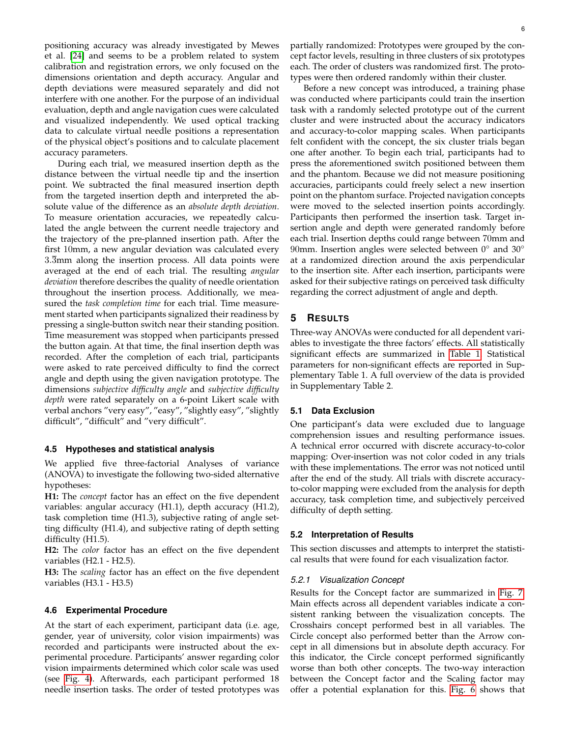positioning accuracy was already investigated by Mewes et al. [\[24\]](#page-11-16) and seems to be a problem related to system calibration and registration errors, we only focused on the dimensions orientation and depth accuracy. Angular and depth deviations were measured separately and did not interfere with one another. For the purpose of an individual evaluation, depth and angle navigation cues were calculated and visualized independently. We used optical tracking data to calculate virtual needle positions a representation of the physical object's positions and to calculate placement accuracy parameters.

During each trial, we measured insertion depth as the distance between the virtual needle tip and the insertion point. We subtracted the final measured insertion depth from the targeted insertion depth and interpreted the absolute value of the difference as an *absolute depth deviation*. To measure orientation accuracies, we repeatedly calculated the angle between the current needle trajectory and the trajectory of the pre-planned insertion path. After the first 10mm, a new angular deviation was calculated every 3.3mm along the insertion process. All data points were averaged at the end of each trial. The resulting *angular deviation* therefore describes the quality of needle orientation throughout the insertion process. Additionally, we measured the *task completion time* for each trial. Time measurement started when participants signalized their readiness by pressing a single-button switch near their standing position. Time measurement was stopped when participants pressed the button again. At that time, the final insertion depth was recorded. After the completion of each trial, participants were asked to rate perceived difficulty to find the correct angle and depth using the given navigation prototype. The dimensions *subjective difficulty angle* and *subjective difficulty depth* were rated separately on a 6-point Likert scale with verbal anchors "very easy", "easy", "slightly easy", "slightly difficult", "difficult" and "very difficult".

#### **4.5 Hypotheses and statistical analysis**

We applied five three-factorial Analyses of variance (ANOVA) to investigate the following two-sided alternative hypotheses:

**H1:** The *concept* factor has an effect on the five dependent variables: angular accuracy (H1.1), depth accuracy (H1.2), task completion time (H1.3), subjective rating of angle setting difficulty (H1.4), and subjective rating of depth setting difficulty (H1.5).

**H2:** The *color* factor has an effect on the five dependent variables (H2.1 - H2.5).

**H3:** The *scaling* factor has an effect on the five dependent variables (H3.1 - H3.5)

#### **4.6 Experimental Procedure**

At the start of each experiment, participant data (i.e. age, gender, year of university, color vision impairments) was recorded and participants were instructed about the experimental procedure. Participants' answer regarding color vision impairments determined which color scale was used (see [Fig. 4\)](#page-4-1). Afterwards, each participant performed 18 needle insertion tasks. The order of tested prototypes was partially randomized: Prototypes were grouped by the concept factor levels, resulting in three clusters of six prototypes each. The order of clusters was randomized first. The prototypes were then ordered randomly within their cluster.

Before a new concept was introduced, a training phase was conducted where participants could train the insertion task with a randomly selected prototype out of the current cluster and were instructed about the accuracy indicators and accuracy-to-color mapping scales. When participants felt confident with the concept, the six cluster trials began one after another. To begin each trial, participants had to press the aforementioned switch positioned between them and the phantom. Because we did not measure positioning accuracies, participants could freely select a new insertion point on the phantom surface. Projected navigation concepts were moved to the selected insertion points accordingly. Participants then performed the insertion task. Target insertion angle and depth were generated randomly before each trial. Insertion depths could range between 70mm and 90mm. Insertion angles were selected between  $0^{\circ}$  and  $30^{\circ}$ at a randomized direction around the axis perpendicular to the insertion site. After each insertion, participants were asked for their subjective ratings on perceived task difficulty regarding the correct adjustment of angle and depth.

# **5 RESULTS**

Three-way ANOVAs were conducted for all dependent variables to investigate the three factors' effects. All statistically significant effects are summarized in [Table 1.](#page-7-0) Statistical parameters for non-significant effects are reported in Supplementary Table 1. A full overview of the data is provided in Supplementary Table 2.

#### **5.1 Data Exclusion**

One participant's data were excluded due to language comprehension issues and resulting performance issues. A technical error occurred with discrete accuracy-to-color mapping: Over-insertion was not color coded in any trials with these implementations. The error was not noticed until after the end of the study. All trials with discrete accuracyto-color mapping were excluded from the analysis for depth accuracy, task completion time, and subjectively perceived difficulty of depth setting.

#### **5.2 Interpretation of Results**

This section discusses and attempts to interpret the statistical results that were found for each visualization factor.

#### *5.2.1 Visualization Concept*

Results for the Concept factor are summarized in [Fig. 7.](#page-8-0) Main effects across all dependent variables indicate a consistent ranking between the visualization concepts. The Crosshairs concept performed best in all variables. The Circle concept also performed better than the Arrow concept in all dimensions but in absolute depth accuracy. For this indicator, the Circle concept performed significantly worse than both other concepts. The two-way interaction between the Concept factor and the Scaling factor may offer a potential explanation for this. [Fig. 6](#page-7-1) shows that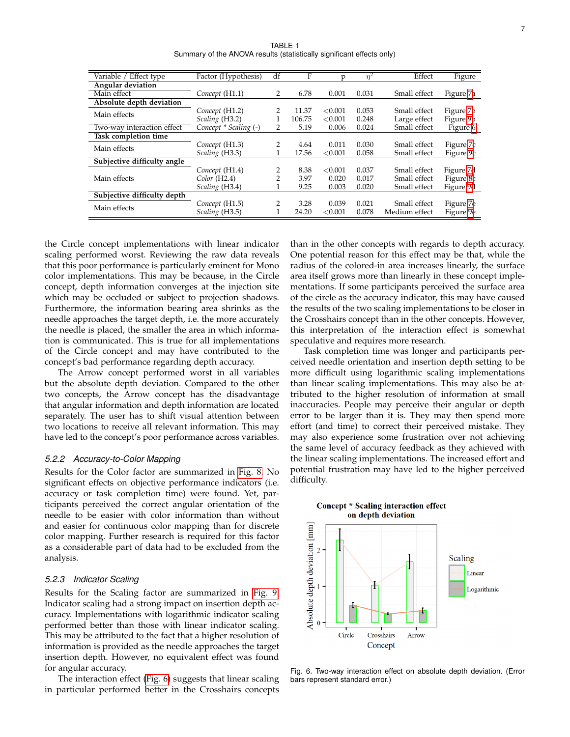TABLE 1 Summary of the ANOVA results (statistically significant effects only)

<span id="page-7-0"></span>

| Variable / Effect type      | Factor (Hypothesis)   | df             | F      | p       | $n^2$ | Effect        | Figure    |
|-----------------------------|-----------------------|----------------|--------|---------|-------|---------------|-----------|
| Angular deviation           |                       |                |        |         |       |               |           |
| Main effect                 | Concept (H1.1)        | 2              | 6.78   | 0.001   | 0.031 | Small effect  | Figure 7a |
| Absolute depth deviation    |                       |                |        |         |       |               |           |
| Main effects                | Concept (H1.2)        | 2              | 11.37  | < 0.001 | 0.053 | Small effect  | Figure 7b |
|                             | Scaling (H3.2)        |                | 106.75 | < 0.001 | 0.248 | Large effect  | Figure 9b |
| Two-way interaction effect  | Concept * Scaling (-) | 2              | 5.19   | 0.006   | 0.024 | Small effect  | Figure 6  |
| <b>Task completion time</b> |                       |                |        |         |       |               |           |
| Main effects                | Concept (H1.3)        | 2              | 4.64   | 0.011   | 0.030 | Small effect  | Figure 7c |
|                             | Scaling (H3.3)        |                | 17.56  | < 0.001 | 0.058 | Small effect  | Figure 9c |
| Subjective difficulty angle |                       |                |        |         |       |               |           |
| Main effects                | Concept (H1.4)        | 2              | 8.38   | < 0.001 | 0.037 | Small effect  | Figure 7d |
|                             | Color (H2.4)          | $\overline{2}$ | 3.97   | 0.020   | 0.017 | Small effect  | Figure 8c |
|                             | Scaling (H3.4)        |                | 9.25   | 0.003   | 0.020 | Small effect  | Figure 9d |
| Subjective difficulty depth |                       |                |        |         |       |               |           |
| Main effects                | Concept (H1.5)        | 2              | 3.28   | 0.039   | 0.021 | Small effect  | Figure 7e |
|                             | Scaling (H3.5)        |                | 24.20  | < 0.001 | 0.078 | Medium effect | Figure 9e |

the Circle concept implementations with linear indicator scaling performed worst. Reviewing the raw data reveals that this poor performance is particularly eminent for Mono color implementations. This may be because, in the Circle concept, depth information converges at the injection site which may be occluded or subject to projection shadows. Furthermore, the information bearing area shrinks as the needle approaches the target depth, i.e. the more accurately the needle is placed, the smaller the area in which information is communicated. This is true for all implementations of the Circle concept and may have contributed to the concept's bad performance regarding depth accuracy.

The Arrow concept performed worst in all variables but the absolute depth deviation. Compared to the other two concepts, the Arrow concept has the disadvantage that angular information and depth information are located separately. The user has to shift visual attention between two locations to receive all relevant information. This may have led to the concept's poor performance across variables.

#### *5.2.2 Accuracy-to-Color Mapping*

Results for the Color factor are summarized in [Fig. 8.](#page-8-1) No significant effects on objective performance indicators (i.e. accuracy or task completion time) were found. Yet, participants perceived the correct angular orientation of the needle to be easier with color information than without and easier for continuous color mapping than for discrete color mapping. Further research is required for this factor as a considerable part of data had to be excluded from the analysis.

#### *5.2.3 Indicator Scaling*

Results for the Scaling factor are summarized in [Fig. 9.](#page-9-0) Indicator scaling had a strong impact on insertion depth accuracy. Implementations with logarithmic indicator scaling performed better than those with linear indicator scaling. This may be attributed to the fact that a higher resolution of information is provided as the needle approaches the target insertion depth. However, no equivalent effect was found for angular accuracy.

The interaction effect [\(Fig. 6\)](#page-7-1) suggests that linear scaling in particular performed better in the Crosshairs concepts

than in the other concepts with regards to depth accuracy. One potential reason for this effect may be that, while the radius of the colored-in area increases linearly, the surface area itself grows more than linearly in these concept implementations. If some participants perceived the surface area of the circle as the accuracy indicator, this may have caused the results of the two scaling implementations to be closer in the Crosshairs concept than in the other concepts. However, this interpretation of the interaction effect is somewhat speculative and requires more research.

Task completion time was longer and participants perceived needle orientation and insertion depth setting to be more difficult using logarithmic scaling implementations than linear scaling implementations. This may also be attributed to the higher resolution of information at small inaccuracies. People may perceive their angular or depth error to be larger than it is. They may then spend more effort (and time) to correct their perceived mistake. They may also experience some frustration over not achieving the same level of accuracy feedback as they achieved with the linear scaling implementations. The increased effort and potential frustration may have led to the higher perceived difficulty.



<span id="page-7-1"></span>Fig. 6. Two-way interaction effect on absolute depth deviation. (Error bars represent standard error.)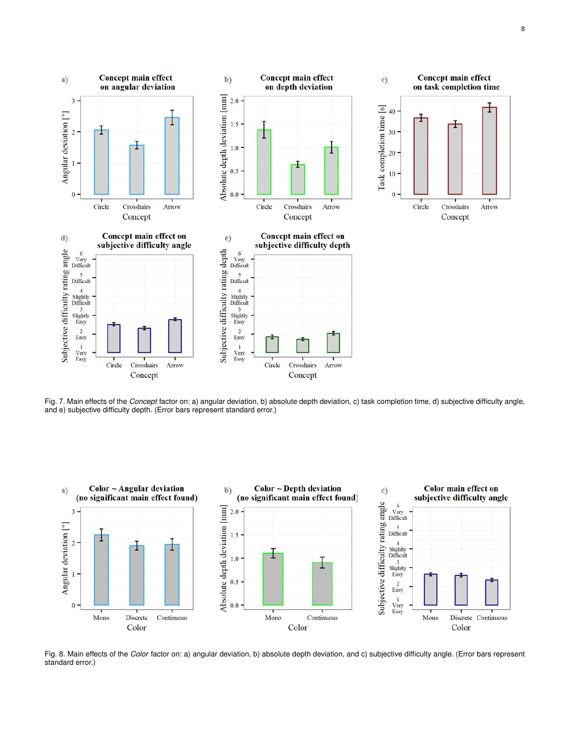

<span id="page-8-0"></span>Fig. 7. Main effects of the *Concept* factor on: a) angular deviation, b) absolute depth deviation, c) task completion time, d) subjective difficulty angle, and e) subjective difficulty depth. (Error bars represent standard error.)



<span id="page-8-1"></span>Fig. 8. Main effects of the *Color* factor on: a) angular deviation, b) absolute depth deviation, and c) subjective difficulty angle. (Error bars represent standard error.)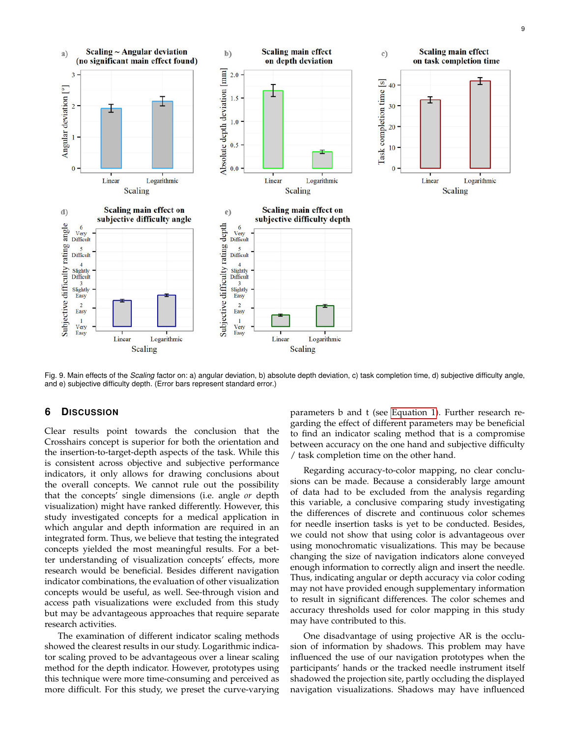9



<span id="page-9-0"></span>Fig. 9. Main effects of the *Scaling* factor on: a) angular deviation, b) absolute depth deviation, c) task completion time, d) subjective difficulty angle, and e) subjective difficulty depth. (Error bars represent standard error.)

# **6 DISCUSSION**

Clear results point towards the conclusion that the Crosshairs concept is superior for both the orientation and the insertion-to-target-depth aspects of the task. While this is consistent across objective and subjective performance indicators, it only allows for drawing conclusions about the overall concepts. We cannot rule out the possibility that the concepts' single dimensions (i.e. angle *or* depth visualization) might have ranked differently. However, this study investigated concepts for a medical application in which angular and depth information are required in an integrated form. Thus, we believe that testing the integrated concepts yielded the most meaningful results. For a better understanding of visualization concepts' effects, more research would be beneficial. Besides different navigation indicator combinations, the evaluation of other visualization concepts would be useful, as well. See-through vision and access path visualizations were excluded from this study but may be advantageous approaches that require separate research activities.

The examination of different indicator scaling methods showed the clearest results in our study. Logarithmic indicator scaling proved to be advantageous over a linear scaling method for the depth indicator. However, prototypes using this technique were more time-consuming and perceived as more difficult. For this study, we preset the curve-varying parameters b and t (see [Equation 1\)](#page-4-5). Further research regarding the effect of different parameters may be beneficial to find an indicator scaling method that is a compromise between accuracy on the one hand and subjective difficulty / task completion time on the other hand.

Regarding accuracy-to-color mapping, no clear conclusions can be made. Because a considerably large amount of data had to be excluded from the analysis regarding this variable, a conclusive comparing study investigating the differences of discrete and continuous color schemes for needle insertion tasks is yet to be conducted. Besides, we could not show that using color is advantageous over using monochromatic visualizations. This may be because changing the size of navigation indicators alone conveyed enough information to correctly align and insert the needle. Thus, indicating angular or depth accuracy via color coding may not have provided enough supplementary information to result in significant differences. The color schemes and accuracy thresholds used for color mapping in this study may have contributed to this.

One disadvantage of using projective AR is the occlusion of information by shadows. This problem may have influenced the use of our navigation prototypes when the participants' hands or the tracked needle instrument itself shadowed the projection site, partly occluding the displayed navigation visualizations. Shadows may have influenced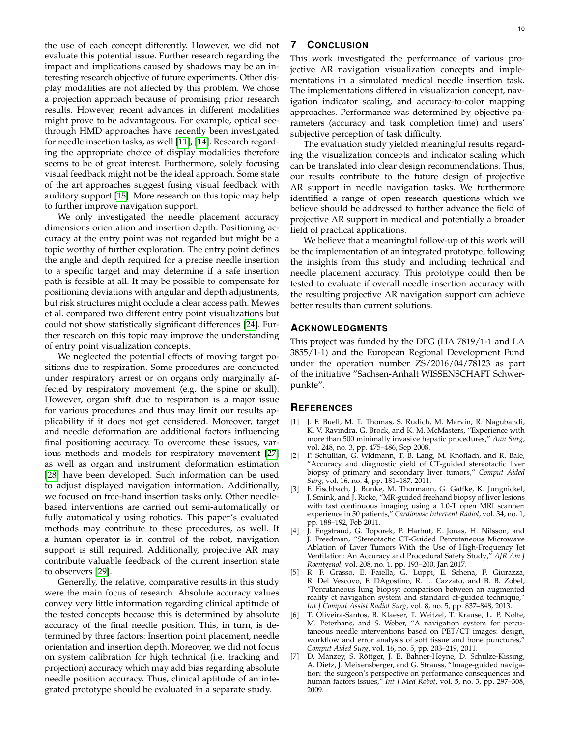the use of each concept differently. However, we did not evaluate this potential issue. Further research regarding the impact and implications caused by shadows may be an interesting research objective of future experiments. Other display modalities are not affected by this problem. We chose a projection approach because of promising prior research results. However, recent advances in different modalities might prove to be advantageous. For example, optical seethrough HMD approaches have recently been investigated for needle insertion tasks, as well [\[11\]](#page-11-3), [\[14\]](#page-11-6). Research regarding the appropriate choice of display modalities therefore seems to be of great interest. Furthermore, solely focusing visual feedback might not be the ideal approach. Some state of the art approaches suggest fusing visual feedback with auditory support [\[15\]](#page-11-7). More research on this topic may help to further improve navigation support.

We only investigated the needle placement accuracy dimensions orientation and insertion depth. Positioning accuracy at the entry point was not regarded but might be a topic worthy of further exploration. The entry point defines the angle and depth required for a precise needle insertion to a specific target and may determine if a safe insertion path is feasible at all. It may be possible to compensate for positioning deviations with angular and depth adjustments, but risk structures might occlude a clear access path. Mewes et al. compared two different entry point visualizations but could not show statistically significant differences [\[24\]](#page-11-16). Further research on this topic may improve the understanding of entry point visualization concepts.

We neglected the potential effects of moving target positions due to respiration. Some procedures are conducted under respiratory arrest or on organs only marginally affected by respiratory movement (e.g. the spine or skull). However, organ shift due to respiration is a major issue for various procedures and thus may limit our results applicability if it does not get considered. Moreover, target and needle deformation are additional factors influencing final positioning accuracy. To overcome these issues, various methods and models for respiratory movement [\[27\]](#page-11-19) as well as organ and instrument deformation estimation [\[28\]](#page-11-20) have been developed. Such information can be used to adjust displayed navigation information. Additionally, we focused on free-hand insertion tasks only. Other needlebased interventions are carried out semi-automatically or fully automatically using robotics. This paper's evaluated methods may contribute to these procedures, as well. If a human operator is in control of the robot, navigation support is still required. Additionally, projective AR may contribute valuable feedback of the current insertion state to observers [\[29\]](#page-11-21).

Generally, the relative, comparative results in this study were the main focus of research. Absolute accuracy values convey very little information regarding clinical aptitude of the tested concepts because this is determined by absolute accuracy of the final needle position. This, in turn, is determined by three factors: Insertion point placement, needle orientation and insertion depth. Moreover, we did not focus on system calibration for high technical (i.e. tracking and projection) accuracy which may add bias regarding absolute needle position accuracy. Thus, clinical aptitude of an integrated prototype should be evaluated in a separate study.

# **7 CONCLUSION**

This work investigated the performance of various projective AR navigation visualization concepts and implementations in a simulated medical needle insertion task. The implementations differed in visualization concept, navigation indicator scaling, and accuracy-to-color mapping approaches. Performance was determined by objective parameters (accuracy and task completion time) and users' subjective perception of task difficulty.

The evaluation study yielded meaningful results regarding the visualization concepts and indicator scaling which can be translated into clear design recommendations. Thus, our results contribute to the future design of projective AR support in needle navigation tasks. We furthermore identified a range of open research questions which we believe should be addressed to further advance the field of projective AR support in medical and potentially a broader field of practical applications.

We believe that a meaningful follow-up of this work will be the implementation of an integrated prototype, following the insights from this study and including technical and needle placement accuracy. This prototype could then be tested to evaluate if overall needle insertion accuracy with the resulting projective AR navigation support can achieve better results than current solutions.

# **ACKNOWLEDGMENTS**

This project was funded by the DFG (HA 7819/1-1 and LA 3855/1-1) and the European Regional Development Fund under the operation number ZS/2016/04/78123 as part of the initiative "Sachsen-Anhalt WISSENSCHAFT Schwerpunkte".

# **REFERENCES**

- <span id="page-10-0"></span>[1] J. F. Buell, M. T. Thomas, S. Rudich, M. Marvin, R. Nagubandi, K. V. Ravindra, G. Brock, and K. M. McMasters, "Experience with more than 500 minimally invasive hepatic procedures," *Ann Surg*, vol. 248, no. 3, pp. 475–486, Sep 2008.
- <span id="page-10-1"></span>[2] P. Schullian, G. Widmann, T. B. Lang, M. Knoflach, and R. Bale, "Accuracy and diagnostic yield of CT-guided stereotactic liver biopsy of primary and secondary liver tumors," *Comput Aided Surg*, vol. 16, no. 4, pp. 181–187, 2011.
- <span id="page-10-2"></span>[3] F. Fischbach, J. Bunke, M. Thormann, G. Gaffke, K. Jungnickel, J. Smink, and J. Ricke, "MR-guided freehand biopsy of liver lesions with fast continuous imaging using a 1.0-T open MRI scanner: experience in 50 patients," *Cardiovasc Intervent Radiol*, vol. 34, no. 1, pp. 188–192, Feb 2011.
- <span id="page-10-3"></span>[4] J. Engstrand, G. Toporek, P. Harbut, E. Jonas, H. Nilsson, and J. Freedman, "Stereotactic CT-Guided Percutaneous Microwave Ablation of Liver Tumors With the Use of High-Frequency Jet Ventilation: An Accuracy and Procedural Safety Study," *AJR Am J Roentgenol*, vol. 208, no. 1, pp. 193–200, Jan 2017.
- <span id="page-10-4"></span>[5] R. F. Grasso, E. Faiella, G. Luppi, E. Schena, F. Giurazza, R. Del Vescovo, F. DAgostino, R. L. Cazzato, and B. B. Zobel, "Percutaneous lung biopsy: comparison between an augmented reality ct navigation system and standard ct-guided technique," *Int J Comput Assist Radiol Surg*, vol. 8, no. 5, pp. 837–848, 2013.
- <span id="page-10-5"></span>[6] T. Oliveira-Santos, B. Klaeser, T. Weitzel, T. Krause, L. P. Nolte, M. Peterhans, and S. Weber, "A navigation system for percutaneous needle interventions based on  $\text{PET}/\text{CT}$  images: design, workflow and error analysis of soft tissue and bone punctures, *Comput Aided Surg*, vol. 16, no. 5, pp. 203–219, 2011.
- <span id="page-10-6"></span>[7] D. Manzey, S. Rottger, J. E. Bahner-Heyne, D. Schulze-Kissing, A. Dietz, J. Meixensberger, and G. Strauss, "Image-guided navigation: the surgeon's perspective on performance consequences and human factors issues," *Int J Med Robot*, vol. 5, no. 3, pp. 297–308, 2009.